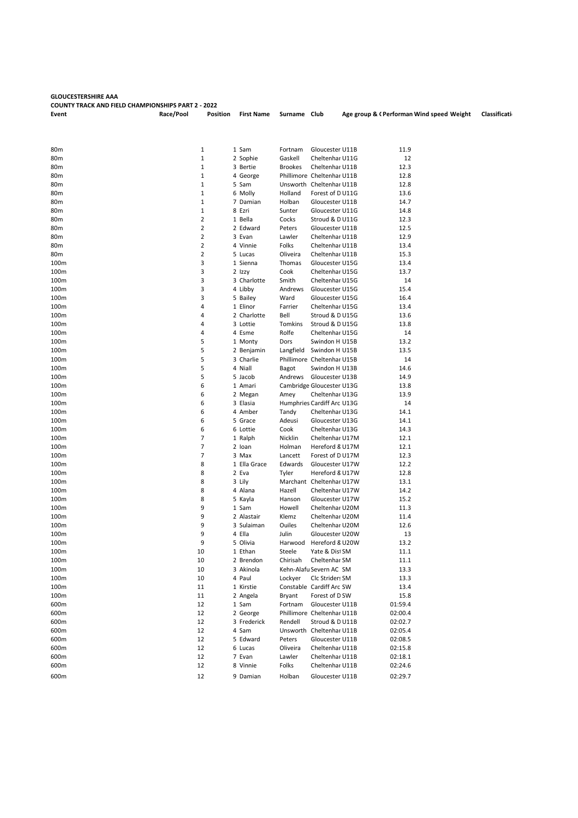| <b>COUNTY TRACK AND FIELD CHAMPIONSHIPS PART 2 - 2022</b> |                       |                   |                |                            |                                          |              |  |  |  |
|-----------------------------------------------------------|-----------------------|-------------------|----------------|----------------------------|------------------------------------------|--------------|--|--|--|
| Event                                                     | Race/Pool<br>Position | <b>First Name</b> | Surname Club   |                            | Age group & CPerforman Wind speed Weight | Classificati |  |  |  |
|                                                           |                       |                   |                |                            |                                          |              |  |  |  |
|                                                           |                       |                   |                |                            |                                          |              |  |  |  |
| 80 <sub>m</sub>                                           | $\mathbf 1$           | 1 Sam             | Fortnam        | Gloucester U11B            | 11.9                                     |              |  |  |  |
| 80 <sub>m</sub>                                           | $\mathbf 1$           | 2 Sophie          | Gaskell        | Cheltenhar U11G            | 12                                       |              |  |  |  |
|                                                           |                       |                   | <b>Brookes</b> |                            |                                          |              |  |  |  |
| 80 <sub>m</sub>                                           | $\mathbf 1$           | 3 Bertie          |                | Cheltenhar U11B            | 12.3                                     |              |  |  |  |
| 80 <sub>m</sub>                                           | 1                     | 4 George          |                | Phillimore Cheltenhar U11B | 12.8                                     |              |  |  |  |
| 80 <sub>m</sub>                                           | $\mathbf 1$           | 5 Sam             |                | Unsworth Cheltenhar U11B   | 12.8                                     |              |  |  |  |
| 80 <sub>m</sub>                                           | 1                     | 6 Molly           | Holland        | Forest of DU11G            | 13.6                                     |              |  |  |  |
| 80 <sub>m</sub>                                           | $\mathbf 1$           | 7 Damian          | Holban         | Gloucester U11B            | 14.7                                     |              |  |  |  |
| 80 <sub>m</sub>                                           | 1                     | 8 Ezri            | Sunter         | Gloucester U11G            | 14.8                                     |              |  |  |  |
| 80 <sub>m</sub>                                           | $\overline{2}$        | 1 Bella           | Cocks          | Stroud & D U11G            | 12.3                                     |              |  |  |  |
| 80 <sub>m</sub>                                           | 2                     | 2 Edward          | Peters         | Gloucester U11B            | 12.5                                     |              |  |  |  |
| 80 <sub>m</sub>                                           | $\overline{2}$        | 3 Evan            | Lawler         | Cheltenhar U11B            | 12.9                                     |              |  |  |  |
| 80 <sub>m</sub>                                           | 2                     | 4 Vinnie          | Folks          | Cheltenhar U11B            | 13.4                                     |              |  |  |  |
| 80 <sub>m</sub>                                           | $\overline{2}$        | 5 Lucas           | Oliveira       | Cheltenhar U11B            | 15.3                                     |              |  |  |  |
| 100m                                                      | 3                     | 1 Sienna          | Thomas         | Gloucester U15G            | 13.4                                     |              |  |  |  |
| 100m                                                      | 3                     | 2 Izzy            | Cook           | Cheltenhar U15G            | 13.7                                     |              |  |  |  |
| 100m                                                      | 3                     | 3 Charlotte       | Smith          | Cheltenhar U15G            | 14                                       |              |  |  |  |
| 100m                                                      | 3                     | 4 Libby           | Andrews        | Gloucester U15G            | 15.4                                     |              |  |  |  |
| 100m                                                      | 3                     | 5 Bailey          | Ward           | Gloucester U15G            | 16.4                                     |              |  |  |  |
| 100m                                                      | 4                     | 1 Elinor          | Farrier        | Cheltenhar U15G            | 13.4                                     |              |  |  |  |
| 100m                                                      | 4                     | 2 Charlotte       | Bell           | Stroud & D U15G            | 13.6                                     |              |  |  |  |
| 100m                                                      | 4                     | 3 Lottie          | Tomkins        | Stroud & D U15G            | 13.8                                     |              |  |  |  |
| 100m                                                      | 4                     | 4 Esme            | Rolfe          | Cheltenhar U15G            | 14                                       |              |  |  |  |
| 100m                                                      | 5                     | 1 Monty           | Dors           | Swindon H U15B             | 13.2                                     |              |  |  |  |
| 100m                                                      | 5                     | 2 Benjamin        | Langfield      | Swindon H U15B             | 13.5                                     |              |  |  |  |
| 100m                                                      | 5                     | 3 Charlie         |                | Phillimore Cheltenhar U15B | 14                                       |              |  |  |  |
| 100m                                                      | 5                     | 4 Niall           | Bagot          | Swindon H U13B             | 14.6                                     |              |  |  |  |
| 100m                                                      | 5                     | 5 Jacob           | Andrews        | Gloucester U13B            | 14.9                                     |              |  |  |  |
| 100m                                                      | 6                     | 1 Amari           |                | Cambridge Gloucester U13G  | 13.8                                     |              |  |  |  |
| 100m                                                      | 6                     | 2 Megan           | Amey           | Cheltenhar U13G            | 13.9                                     |              |  |  |  |
| 100m                                                      | 6                     | 3 Elasia          |                | Humphries Cardiff Arc U13G | 14                                       |              |  |  |  |
| 100m                                                      | 6                     | 4 Amber           | Tandy          | Cheltenhar U13G            | 14.1                                     |              |  |  |  |
| 100m                                                      | 6                     | 5 Grace           | Adeusi         | Gloucester U13G            | 14.1                                     |              |  |  |  |
|                                                           | 6                     |                   |                |                            |                                          |              |  |  |  |
| 100m                                                      | $\overline{7}$        | 6 Lottie          | Cook           | Cheltenhar U13G            | 14.3                                     |              |  |  |  |
| 100m                                                      |                       | 1 Ralph           | Nicklin        | Cheltenhar U17M            | 12.1                                     |              |  |  |  |
| 100m                                                      | 7                     | 2 Ioan            | Holman         | Hereford 8 U17M            | 12.1                                     |              |  |  |  |
| 100m                                                      | $\overline{7}$        | 3 Max             | Lancett        | Forest of DU17M            | 12.3                                     |              |  |  |  |
| 100m                                                      | 8                     | 1 Ella Grace      | Edwards        | Gloucester U17W            | 12.2                                     |              |  |  |  |
| 100m                                                      | 8                     | 2 Eva             | Tyler          | Hereford 8 U17W            | 12.8                                     |              |  |  |  |
| 100m                                                      | 8                     | 3 Lily            |                | Marchant Cheltenhar U17W   | 13.1                                     |              |  |  |  |
| 100m                                                      | 8                     | 4 Alana           | Hazell         | Cheltenhar U17W            | 14.2                                     |              |  |  |  |
| 100m                                                      | 8                     | 5 Kayla           | Hanson         | Gloucester U17W            | 15.2                                     |              |  |  |  |
| 100m                                                      | 9                     | 1 Sam             | Howell         | Cheltenhar U20M            | 11.3                                     |              |  |  |  |
| 100m                                                      | 9                     | 2 Alastair        | Klemz          | Cheltenhar U20M            | 11.4                                     |              |  |  |  |
| 100m                                                      | 9                     | 3 Sulaiman        | Ouiles         | Cheltenhar U20M            | 12.6                                     |              |  |  |  |
| 100m                                                      | 9                     | 4 Ella            | Julin          | Gloucester U20W            | 13                                       |              |  |  |  |
| 100m                                                      | 9                     | 5 Olivia          | Harwood        | Hereford 8 U20W            | 13.2                                     |              |  |  |  |
| 100m                                                      | 10                    | 1 Ethan           | Steele         | Yate & Dist SM             | 11.1                                     |              |  |  |  |
| 100m                                                      | 10                    | 2 Brendon         | Chirisah       | Cheltenhar SM              | 11.1                                     |              |  |  |  |
| 100m                                                      | 10                    | 3 Akinola         |                | Kehn-Alafu Severn AC SM    | 13.3                                     |              |  |  |  |
| 100m                                                      | 10                    | 4 Paul            | Lockyer        | Clc Striders SM            | 13.3                                     |              |  |  |  |
| 100m                                                      | 11                    | 1 Kirstie         |                | Constable Cardiff Arc SW   | 13.4                                     |              |  |  |  |
| 100m                                                      | 11                    | 2 Angela          | Bryant         | Forest of D SW             | 15.8                                     |              |  |  |  |
| 600m                                                      | 12                    | 1 Sam             | Fortnam        | Gloucester U11B            | 01:59.4                                  |              |  |  |  |
| 600m                                                      | 12                    | 2 George          |                | Phillimore Cheltenhar U11B | 02:00.4                                  |              |  |  |  |
| 600m                                                      | 12                    | 3 Frederick       | Rendell        | Stroud & D U11B            | 02:02.7                                  |              |  |  |  |
| 600m                                                      | 12                    | 4 Sam             |                | Unsworth Cheltenhar U11B   | 02:05.4                                  |              |  |  |  |

600m 12 5 Edward Peters Gloucester ACU11B 02:08.5 600m 12 6 Lucas Oliveira Cheltenham and County Harriers U11B 02:15.8 600m 12 12 7 Evan Lawler Cheltenhar U11B 02:18.1 600m 12 8 Vinnie Folks Cheltenhar U11B 02:24.6 600m 12 9 Damian Holban Gloucester ACU11B 02:29.7

**GLOUCESTERSHIRE AAA**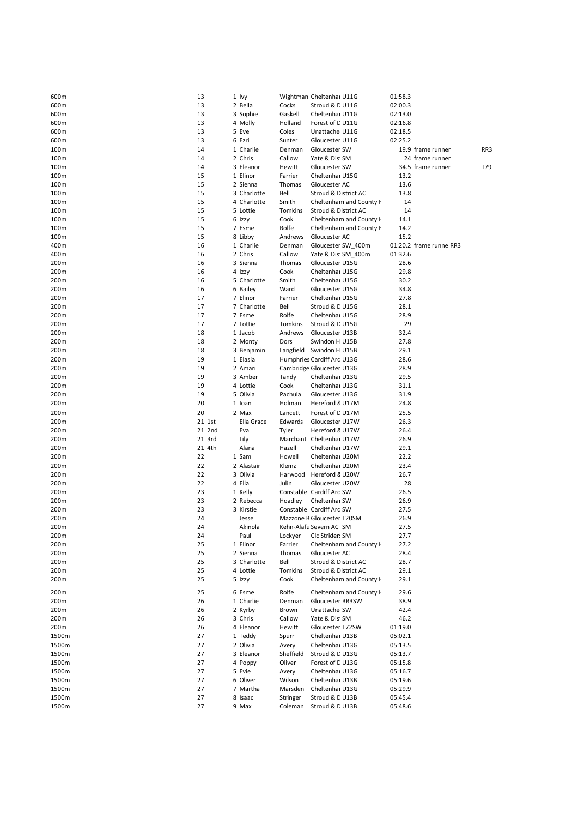| 600m          | 13               | 1 lvy  |                      |                  | Wightman Cheltenhar U11G                               | 01:58.3            |                         |     |
|---------------|------------------|--------|----------------------|------------------|--------------------------------------------------------|--------------------|-------------------------|-----|
| 600m          | 13               |        | 2 Bella              | Cocks            | Stroud & D U11G                                        | 02:00.3            |                         |     |
| 600m          | 13               |        | 3 Sophie             | Gaskell          | Cheltenhar U11G                                        | 02:13.0            |                         |     |
| 600m          | 13               |        | 4 Molly              | Holland          | Forest of DU11G                                        | 02:16.8            |                         |     |
| 600m          | 13               | 5 Eve  |                      | Coles            | Unattacher U11G                                        | 02:18.5            |                         |     |
| 600m          | 13               | 6 Ezri |                      | Sunter           | Gloucester U11G                                        | 02:25.2            |                         |     |
| 100m          | 14               |        | 1 Charlie            | Denman           | Gloucester SW                                          |                    | 19.9 frame runner       | RR3 |
| 100m          | 14               |        | 2 Chris              | Callow           | Yate & Dist SM                                         |                    | 24 frame runner         |     |
| 100m          | 14               |        | 3 Eleanor            | Hewitt           | Gloucester SW                                          |                    | 34.5 frame runner       | T79 |
| 100m          | 15               |        | 1 Elinor             | Farrier          | Cheltenhar U15G                                        | 13.2               |                         |     |
| 100m          | 15               |        | 2 Sienna             | Thomas           | Gloucester AC                                          | 13.6               |                         |     |
| 100m          | 15               |        | 3 Charlotte          | Bell             | Stroud & District AC                                   | 13.8               |                         |     |
| 100m          | 15               |        | 4 Charlotte          | Smith            | Cheltenham and County I                                | 14                 |                         |     |
| 100m          | 15               |        | 5 Lottie             | Tomkins          | Stroud & District AC                                   | 14                 |                         |     |
| 100m          | 15               | 6 Izzy |                      | Cook             | Cheltenham and County I                                | 14.1               |                         |     |
| 100m          | 15               |        | 7 Esme               | Rolfe            | Cheltenham and County I                                | 14.2               |                         |     |
| 100m          | 15               |        | 8 Libby              | Andrews          | Gloucester AC                                          | 15.2               |                         |     |
| 400m          | 16               |        | 1 Charlie            | Denman           | Gloucester SW_400m                                     |                    | 01:20.2 frame runne RR3 |     |
| 400m          | 16               |        | 2 Chris              | Callow           | Yate & Dist SM_400m                                    | 01:32.6            |                         |     |
| 200m          | 16               |        | 3 Sienna             | Thomas           | Gloucester U15G                                        | 28.6               |                         |     |
| 200m          | 16               | 4 Izzy |                      | Cook             | Cheltenhar U15G                                        | 29.8               |                         |     |
| 200m          | 16               |        | 5 Charlotte          | Smith            | Cheltenhar U15G                                        | 30.2               |                         |     |
| 200m          | 16               |        | 6 Bailey             | Ward             | Gloucester U15G                                        | 34.8               |                         |     |
| 200m          | 17               |        | 7 Elinor             | Farrier          | Cheltenhar U15G                                        | 27.8               |                         |     |
| 200m          | 17               |        | 7 Charlotte          | Bell             | Stroud & D U15G                                        | 28.1               |                         |     |
| 200m          | 17               |        | 7 Esme               | Rolfe            | Cheltenhar U15G                                        | 28.9               |                         |     |
| 200m          | 17               |        | 7 Lottie             | Tomkins          | Stroud & D U15G                                        | 29                 |                         |     |
| 200m          | 18               |        | 1 Jacob              | Andrews          | Gloucester U13B                                        | 32.4               |                         |     |
| 200m          | 18               |        | 2 Monty              | Dors             | Swindon H U15B                                         | 27.8               |                         |     |
| 200m          | 18<br>19         |        | 3 Benjamin           |                  | Langfield Swindon H U15B<br>Humphries Cardiff Arc U13G | 29.1<br>28.6       |                         |     |
| 200m<br>200m  | 19               |        | 1 Elasia<br>2 Amari  |                  |                                                        | 28.9               |                         |     |
| 200m          | 19               |        | 3 Amber              | Tandy            | Cambridge Gloucester U13G<br>Cheltenhar U13G           | 29.5               |                         |     |
| 200m          | 19               |        | 4 Lottie             | Cook             | Cheltenhar U13G                                        | 31.1               |                         |     |
| 200m          | 19               |        | 5 Olivia             | Pachula          | Gloucester U13G                                        | 31.9               |                         |     |
| 200m          | 20               |        | 1 Ioan               | Holman           | Hereford 8 U17M                                        | 24.8               |                         |     |
|               |                  |        |                      |                  |                                                        |                    |                         |     |
| 200m          | 20               |        | 2 Max                | Lancett          | Forest of DU17M                                        | 25.5               |                         |     |
| 200m<br>200m  | 21 1st<br>21 2nd |        | Ella Grace<br>Eva    | Edwards<br>Tyler | Gloucester U17W<br>Hereford 8 U17W                     | 26.3<br>26.4       |                         |     |
| 200m          | 21 3rd           |        | Lily                 |                  | Marchant Cheltenhar U17W                               | 26.9               |                         |     |
| 200m          | 21 4th           |        | Alana                | Hazell           | Cheltenhar U17W                                        | 29.1               |                         |     |
| 200m          | 22               |        | 1 Sam                | Howell           | Cheltenhar U20M                                        | 22.2               |                         |     |
| 200m          | 22               |        | 2 Alastair           | Klemz            | Cheltenhar U20M                                        | 23.4               |                         |     |
| 200m          | 22               |        | 3 Olivia             | Harwood          | Hereford 8 U20W                                        | 26.7               |                         |     |
| 200m          | 22               | 4 Ella |                      | Julin            | Gloucester U20W                                        | 28                 |                         |     |
| 200m          | 23               |        | 1 Kelly              |                  | Constable Cardiff Arc SW                               | 26.5               |                         |     |
| 200m          | 23               |        | 2 Rebecca            | Hoadley          | Cheltenhar SW                                          | 26.9               |                         |     |
| 200m          | 23               |        | 3 Kirstie            |                  | Constable Cardiff Arc SW                               | 27.5               |                         |     |
| 200m          | 24               |        | Jesse                |                  | Mazzone B Gloucester T20SM                             | 26.9               |                         |     |
| 200m          | 24               |        | Akinola              |                  | Kehn-Alafu Severn AC SM                                | 27.5               |                         |     |
| 200m          | 24               |        | Paul                 | Lockyer          | Clc Striders SM                                        | 27.7               |                         |     |
| 200m          | 25               |        | 1 Elinor             | Farrier          | Cheltenham and County I                                | 27.2               |                         |     |
| 200m          | 25               |        | 2 Sienna             | Thomas           | Gloucester AC                                          | 28.4               |                         |     |
| 200m          | 25               |        | 3 Charlotte          | Bell             | Stroud & District AC                                   | 28.7               |                         |     |
| 200m          | 25               |        | 4 Lottie             | Tomkins          | Stroud & District AC                                   | 29.1               |                         |     |
| 200m          |                  |        |                      |                  |                                                        |                    |                         |     |
| 200m          | 25               | 5 Izzy |                      | Cook             | Cheltenham and County I                                | 29.1               |                         |     |
|               |                  |        |                      |                  |                                                        |                    |                         |     |
|               | 25               |        | 6 Esme               | Rolfe            | Cheltenham and County I                                | 29.6               |                         |     |
| 200m          | 26               |        | 1 Charlie            | Denman           | Gloucester RR3SW                                       | 38.9               |                         |     |
| 200m          | 26               |        | 2 Kyrby              | Brown            | Unattacher SW                                          | 42.4               |                         |     |
| 200m          | 26               |        | 3 Chris              | Callow           | Yate & Dist SM                                         | 46.2               |                         |     |
| 200m<br>1500m | 26<br>27         |        | 4 Eleanor<br>1 Teddy | Hewitt           | Gloucester T72SW<br>Cheltenhar U13B                    | 01:19.0            |                         |     |
| 1500m         | 27               |        | 2 Olivia             | Spurr<br>Avery   | Cheltenhar U13G                                        | 05:02.1            |                         |     |
| 1500m         | 27               |        | 3 Eleanor            | Sheffield        | Stroud & D U13G                                        | 05:13.5<br>05:13.7 |                         |     |
| 1500m         | 27               |        | 4 Poppy              | Oliver           | Forest of DU13G                                        | 05:15.8            |                         |     |
| 1500m         | 27               |        | 5 Evie               | Avery            | Cheltenhar U13G                                        | 05:16.7            |                         |     |
| 1500m         | 27               |        | 6 Oliver             | Wilson           | Cheltenhar U13B                                        | 05:19.6            |                         |     |
| 1500m         | 27               |        | 7 Martha             | Marsden          | Cheltenhar U13G                                        | 05:29.9            |                         |     |
| 1500m         | 27               |        | 8 Isaac              | Stringer         | Stroud & D U13B                                        | 05:45.4            |                         |     |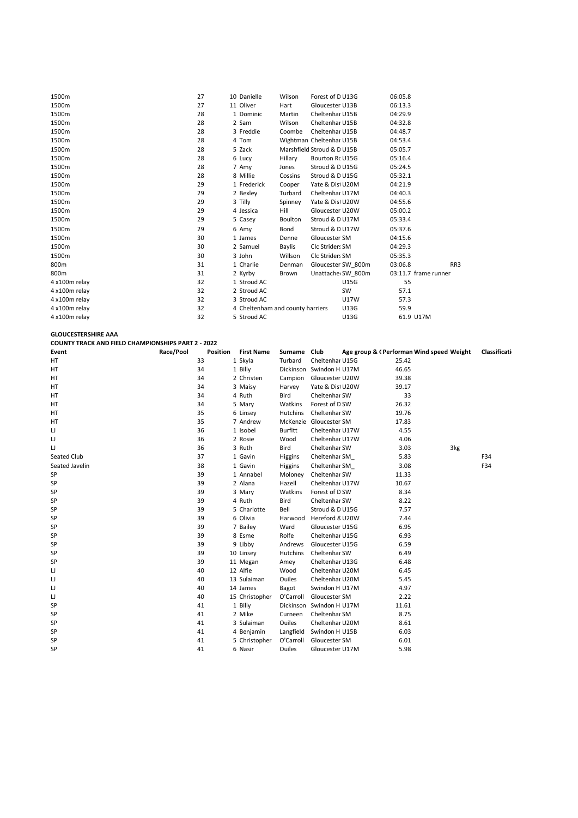| 1500m         | 27 | 10 Danielle                      | Wilson  | Forest of DU13G            |                    | 06:05.8 |                      |
|---------------|----|----------------------------------|---------|----------------------------|--------------------|---------|----------------------|
| 1500m         | 27 | 11 Oliver                        | Hart    | Gloucester U13B            |                    | 06:13.3 |                      |
| 1500m         | 28 | 1 Dominic                        | Martin  | Cheltenhar U15B            |                    | 04:29.9 |                      |
| 1500m         | 28 | 2 Sam                            | Wilson  | Cheltenhar U15B            |                    | 04:32.8 |                      |
| 1500m         | 28 | 3 Freddie                        | Coombe  | Cheltenhar U15B            |                    | 04:48.7 |                      |
| 1500m         | 28 | 4 Tom                            |         | Wightman Cheltenhar U15B   |                    | 04:53.4 |                      |
| 1500m         | 28 | 5 Zack                           |         | Marshfield Stroud & D U15B |                    | 05:05.7 |                      |
| 1500m         | 28 | 6 Lucy                           | Hillary | Bourton Rc U15G            |                    | 05:16.4 |                      |
| 1500m         | 28 | 7 Amy                            | Jones   | Stroud & DU15G             |                    | 05:24.5 |                      |
| 1500m         | 28 | 8 Millie                         | Cossins | Stroud & D U15G            |                    | 05:32.1 |                      |
| 1500m         | 29 | 1 Frederick                      | Cooper  | Yate & Dist U20M           |                    | 04:21.9 |                      |
| 1500m         | 29 | 2 Bexley                         | Turbard | Cheltenhar U17M            |                    | 04:40.3 |                      |
| 1500m         | 29 | 3 Tilly                          | Spinney | Yate & Dist U20W           |                    | 04:55.6 |                      |
| 1500m         | 29 | 4 Jessica                        | Hill    | Gloucester U20W            |                    | 05:00.2 |                      |
| 1500m         | 29 | 5 Casey                          | Boulton | Stroud & DU17M             |                    | 05:33.4 |                      |
| 1500m         | 29 | 6 Amy                            | Bond    | Stroud & D U17W            |                    | 05:37.6 |                      |
| 1500m         | 30 | 1 James                          | Denne   | Gloucester SM              |                    | 04:15.6 |                      |
| 1500m         | 30 | 2 Samuel                         | Baylis  | Clc Striders SM            |                    | 04:29.3 |                      |
| 1500m         | 30 | 3 John                           | Willson | Clc Striders SM            |                    | 05:35.3 |                      |
| 800m          | 31 | 1 Charlie                        | Denman  |                            | Gloucester SW 800m | 03:06.8 | RR <sub>3</sub>      |
| 800m          | 31 | 2 Kyrby                          | Brown   |                            | Unattacher SW 800m |         | 03:11.7 frame runner |
| 4 x100m relay | 32 | 1 Stroud AC                      |         |                            | <b>U15G</b>        | 55      |                      |
| 4 x100m relay | 32 | 2 Stroud AC                      |         |                            | <b>SW</b>          | 57.1    |                      |
| 4 x100m relay | 32 | 3 Stroud AC                      |         |                            | U17W               | 57.3    |                      |
| 4 x100m relay | 32 | 4 Cheltenham and county harriers |         |                            | U13G               | 59.9    |                      |
| 4 x100m relay | 32 | 5 Stroud AC                      |         |                            | U13G               |         | 61.9 U17M            |

**GLOUCESTERSHIRE AAA**

| <b>COUNTY TRACK AND FIELD CHAMPIONSHIPS PART 2 - 2022</b> |           |          |  |                   |              |                          |  |                                           |                 |              |
|-----------------------------------------------------------|-----------|----------|--|-------------------|--------------|--------------------------|--|-------------------------------------------|-----------------|--------------|
| Event                                                     | Race/Pool | Position |  | <b>First Name</b> | Surname Club |                          |  | Age group & ( Performan Wind speed Weight |                 | Classificati |
| HT                                                        |           | 33       |  | 1 Skyla           | Turbard      | Cheltenhar U15G          |  | 25.42                                     |                 |              |
| HT                                                        |           | 34       |  | 1 Billy           |              | Dickinson Swindon H U17M |  | 46.65                                     |                 |              |
| HT                                                        |           | 34       |  | 2 Christen        | Campion      | Gloucester U20W          |  | 39.38                                     |                 |              |
| HT                                                        |           | 34       |  | 3 Maisy           | Harvey       | Yate & Dist U20W         |  | 39.17                                     |                 |              |
| HT                                                        |           | 34       |  | 4 Ruth            | Bird         | Cheltenhar SW            |  | 33                                        |                 |              |
| HT                                                        |           | 34       |  | 5 Mary            | Watkins      | Forest of D SW           |  | 26.32                                     |                 |              |
| HT                                                        |           | 35       |  | 6 Linsey          | Hutchins     | Cheltenhar SW            |  | 19.76                                     |                 |              |
| HT                                                        |           | 35       |  | 7 Andrew          |              | McKenzie Gloucester SM   |  | 17.83                                     |                 |              |
| IJ                                                        |           | 36       |  | 1 Isobel          | Burfitt      | Cheltenhar U17W          |  | 4.55                                      |                 |              |
| IJ                                                        |           | 36       |  | 2 Rosie           | Wood         | Cheltenhar U17W          |  | 4.06                                      |                 |              |
| IJ                                                        |           | 36       |  | 3 Ruth            | Bird         | Cheltenhar SW            |  | 3.03                                      | 3 <sub>kg</sub> |              |
| Seated Club                                               |           | 37       |  | 1 Gavin           | Higgins      | Cheltenhar SM            |  | 5.83                                      |                 | F34          |
| Seated Javelin                                            |           | 38       |  | 1 Gavin           | Higgins      | Cheltenhar SM            |  | 3.08                                      |                 | F34          |
| SP                                                        |           | 39       |  | 1 Annabel         | Moloney      | Cheltenhar SW            |  | 11.33                                     |                 |              |
| SP                                                        |           | 39       |  | 2 Alana           | Hazell       | Cheltenhar U17W          |  | 10.67                                     |                 |              |
| SP                                                        |           | 39       |  | 3 Mary            | Watkins      | Forest of D SW           |  | 8.34                                      |                 |              |
| SP                                                        |           | 39       |  | 4 Ruth            | Bird         | Cheltenhar SW            |  | 8.22                                      |                 |              |
| SP                                                        |           | 39       |  | 5 Charlotte       | Bell         | Stroud & D U15G          |  | 7.57                                      |                 |              |
| SP                                                        |           | 39       |  | 6 Olivia          | Harwood      | Hereford 8 U20W          |  | 7.44                                      |                 |              |
| SP                                                        |           | 39       |  | 7 Bailey          | Ward         | Gloucester U15G          |  | 6.95                                      |                 |              |
| SP                                                        |           | 39       |  | 8 Esme            | Rolfe        | Cheltenhar U15G          |  | 6.93                                      |                 |              |
| SP                                                        |           | 39       |  | 9 Libby           | Andrews      | Gloucester U15G          |  | 6.59                                      |                 |              |
| SP                                                        |           | 39       |  | 10 Linsey         | Hutchins     | Cheltenhar SW            |  | 6.49                                      |                 |              |
| SP                                                        |           | 39       |  | 11 Megan          | Amey         | Cheltenhar U13G          |  | 6.48                                      |                 |              |
| IJ                                                        |           | 40       |  | 12 Alfie          | Wood         | Cheltenhar U20M          |  | 6.45                                      |                 |              |
| IJ                                                        |           | 40       |  | 13 Sulaiman       | Ouiles       | Cheltenhar U20M          |  | 5.45                                      |                 |              |
| IJ                                                        |           | 40       |  | 14 James          | Bagot        | Swindon H U17M           |  | 4.97                                      |                 |              |
| IJ                                                        |           | 40       |  | 15 Christopher    | O'Carroll    | Gloucester SM            |  | 2.22                                      |                 |              |
| SP                                                        |           | 41       |  | 1 Billy           |              | Dickinson Swindon H U17M |  | 11.61                                     |                 |              |
| SP                                                        |           | 41       |  | 2 Mike            | Curneen      | Cheltenhar SM            |  | 8.75                                      |                 |              |
| SP                                                        |           | 41       |  | 3 Sulaiman        | Ouiles       | Cheltenhar U20M          |  | 8.61                                      |                 |              |
| SP                                                        |           | 41       |  | 4 Benjamin        | Langfield    | Swindon H U15B           |  | 6.03                                      |                 |              |
| <b>SP</b>                                                 |           | 41       |  | 5 Christopher     | O'Carroll    | Gloucester SM            |  | 6.01                                      |                 |              |
| SP                                                        |           | 41       |  | 6 Nasir           | Ouiles       | Gloucester U17M          |  | 5.98                                      |                 |              |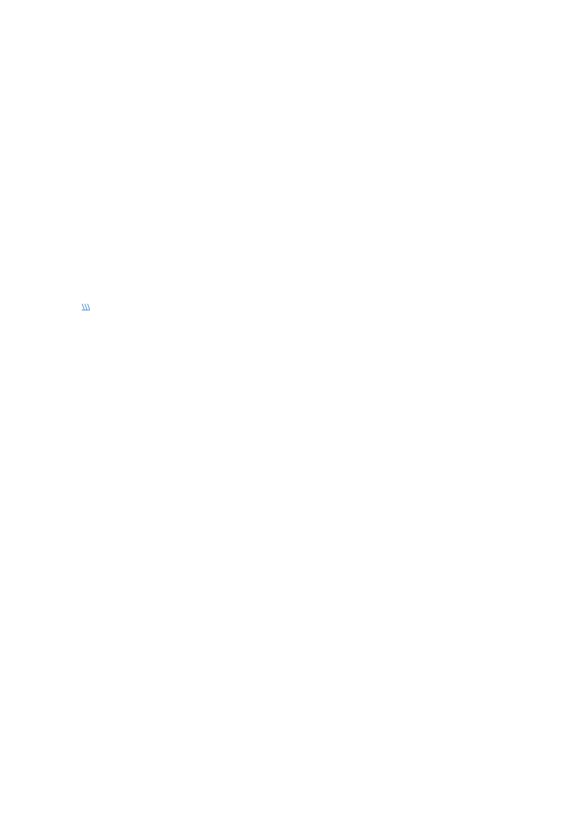$\overline{m}$